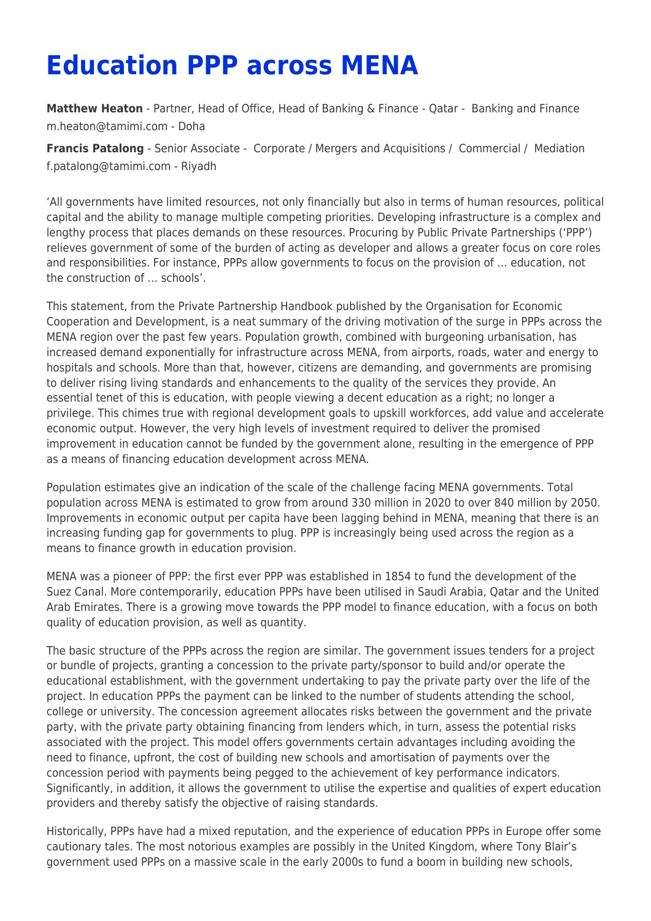## **Education PPP across MENA**

**[Matthew Heaton](https://www.tamimi.com/find-a-lawyer/matthew-heaton/)** - Partner, Head of Office, Head of Banking & Finance - Qatar - [Banking and Finance](https://www.tamimi.com/client-services/practices/banking-finance/) [m.heaton@tamimi.com](mailto:m.heaton@tamimi.com) - [Doha](https://www.tamimi.com/locations/qatar/)

**[Francis Patalong](https://www.tamimi.com/find-a-lawyer/francis-patalong/)** - Senior Associate - [Corporate / Mergers and Acquisitions](https://www.tamimi.com/client-services/practices/corporate-mergers-acquisitions/) / [Commercial](https://www.tamimi.com/client-services/practices/commercial/) / [Mediation](https://www.tamimi.com/client-services/practices/mediation/) [f.patalong@tamimi.com](mailto:f.patalong@tamimi.com) - [Riyadh](https://www.tamimi.com/locations/saudi-arabia/)

'All governments have limited resources, not only financially but also in terms of human resources, political capital and the ability to manage multiple competing priorities. Developing infrastructure is a complex and lengthy process that places demands on these resources. Procuring by Public Private Partnerships ('PPP') relieves government of some of the burden of acting as developer and allows a greater focus on core roles and responsibilities. For instance, PPPs allow governments to focus on the provision of … education, not the construction of … schools'.

This statement, from the Private Partnership Handbook published by the Organisation for Economic Cooperation and Development, is a neat summary of the driving motivation of the surge in PPPs across the MENA region over the past few years. Population growth, combined with burgeoning urbanisation, has increased demand exponentially for infrastructure across MENA, from airports, roads, water and energy to hospitals and schools. More than that, however, citizens are demanding, and governments are promising to deliver rising living standards and enhancements to the quality of the services they provide. An essential tenet of this is education, with people viewing a decent education as a right; no longer a privilege. This chimes true with regional development goals to upskill workforces, add value and accelerate economic output. However, the very high levels of investment required to deliver the promised improvement in education cannot be funded by the government alone, resulting in the emergence of PPP as a means of financing education development across MENA.

Population estimates give an indication of the scale of the challenge facing MENA governments. Total population across MENA is estimated to grow from around 330 million in 2020 to over 840 million by 2050. Improvements in economic output per capita have been lagging behind in MENA, meaning that there is an increasing funding gap for governments to plug. PPP is increasingly being used across the region as a means to finance growth in education provision.

MENA was a pioneer of PPP: the first ever PPP was established in 1854 to fund the development of the Suez Canal. More contemporarily, education PPPs have been utilised in Saudi Arabia, Qatar and the United Arab Emirates. There is a growing move towards the PPP model to finance education, with a focus on both quality of education provision, as well as quantity.

The basic structure of the PPPs across the region are similar. The government issues tenders for a project or bundle of projects, granting a concession to the private party/sponsor to build and/or operate the educational establishment, with the government undertaking to pay the private party over the life of the project. In education PPPs the payment can be linked to the number of students attending the school, college or university. The concession agreement allocates risks between the government and the private party, with the private party obtaining financing from lenders which, in turn, assess the potential risks associated with the project. This model offers governments certain advantages including avoiding the need to finance, upfront, the cost of building new schools and amortisation of payments over the concession period with payments being pegged to the achievement of key performance indicators. Significantly, in addition, it allows the government to utilise the expertise and qualities of expert education providers and thereby satisfy the objective of raising standards.

Historically, PPPs have had a mixed reputation, and the experience of education PPPs in Europe offer some cautionary tales. The most notorious examples are possibly in the United Kingdom, where Tony Blair's government used PPPs on a massive scale in the early 2000s to fund a boom in building new schools,